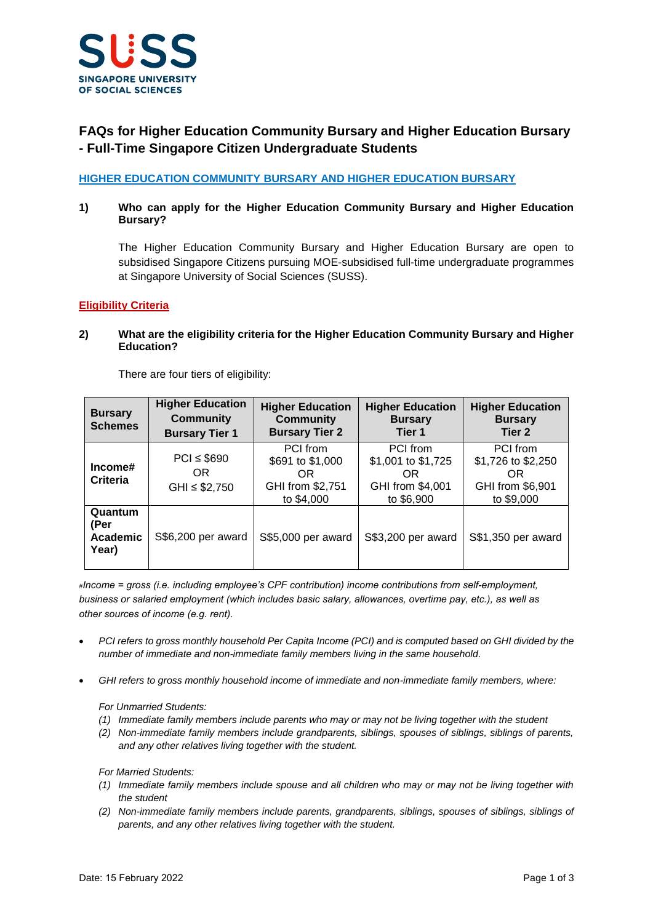

# **FAQs for Higher Education Community Bursary and Higher Education Bursary - Full-Time Singapore Citizen Undergraduate Students**

**HIGHER EDUCATION COMMUNITY BURSARY AND HIGHER EDUCATION BURSARY**

## **1) Who can apply for the Higher Education Community Bursary and Higher Education Bursary?**

The Higher Education Community Bursary and Higher Education Bursary are open to subsidised Singapore Citizens pursuing MOE-subsidised full-time undergraduate programmes at Singapore University of Social Sciences (SUSS).

## **Eligibility Criteria**

## **2) What are the eligibility criteria for the Higher Education Community Bursary and Higher Education?**

There are four tiers of eligibility:

| <b>Bursary</b><br><b>Schemes</b>     | <b>Higher Education</b><br><b>Community</b><br><b>Bursary Tier 1</b> | <b>Higher Education</b><br><b>Community</b><br><b>Bursary Tier 2</b>  | <b>Higher Education</b><br><b>Bursary</b><br>Tier 1                     | <b>Higher Education</b><br><b>Bursary</b><br>Tier 2                     |
|--------------------------------------|----------------------------------------------------------------------|-----------------------------------------------------------------------|-------------------------------------------------------------------------|-------------------------------------------------------------------------|
| Income#<br><b>Criteria</b>           | $PCI \leq $690$<br>OR<br>$GHI \leq $2,750$                           | PCI from<br>\$691 to \$1,000<br>OR.<br>GHI from \$2,751<br>to \$4,000 | PCI from<br>\$1,001 to \$1,725<br>OR.<br>GHI from \$4,001<br>to \$6,900 | PCI from<br>\$1,726 to \$2,250<br>OR.<br>GHI from \$6,901<br>to \$9,000 |
| Quantum<br>(Per<br>Academic<br>Year) | S\$6,200 per award                                                   | S\$5,000 per award                                                    | S\$3,200 per award                                                      | S\$1,350 per award                                                      |

*#Income = gross (i.e. including employee's CPF contribution) income contributions from self-employment, business or salaried employment (which includes basic salary, allowances, overtime pay, etc.), as well as other sources of income (e.g. rent).*

- *PCI refers to gross monthly household Per Capita Income (PCI) and is computed based on GHI divided by the number of immediate and non-immediate family members living in the same household.*
- *GHI refers to gross monthly household income of immediate and non-immediate family members, where:*

*For Unmarried Students:*

- *(1) Immediate family members include parents who may or may not be living together with the student*
- *(2) Non-immediate family members include grandparents, siblings, spouses of siblings, siblings of parents, and any other relatives living together with the student.*

*For Married Students:*

- *(1) Immediate family members include spouse and all children who may or may not be living together with the student*
- *(2) Non-immediate family members include parents, grandparents, siblings, spouses of siblings, siblings of parents, and any other relatives living together with the student.*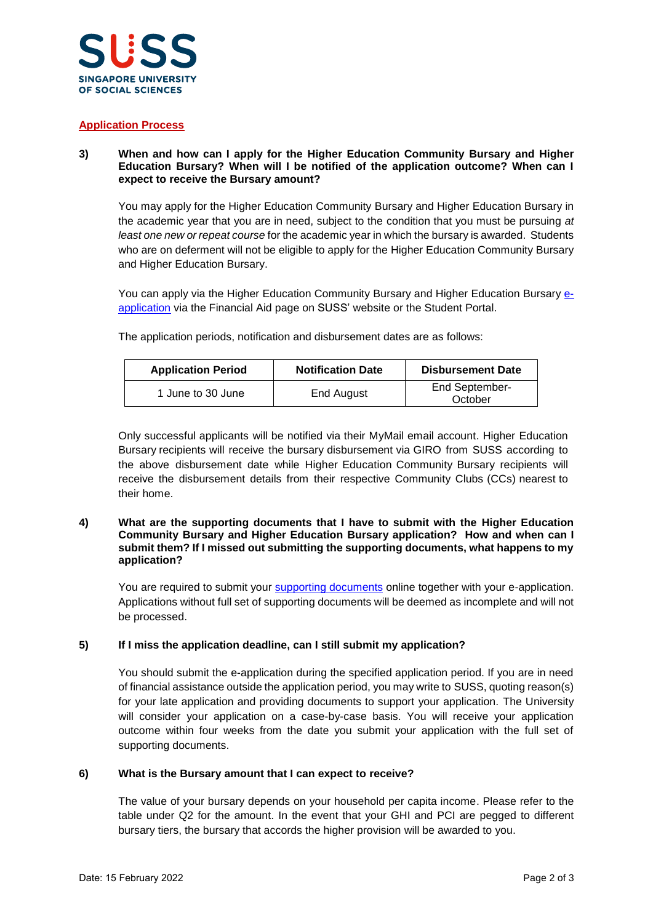

## **Application Process**

## **3) When and how can I apply for the Higher Education Community Bursary and Higher Education Bursary? When will I be notified of the application outcome? When can I expect to receive the Bursary amount?**

You may apply for the Higher Education Community Bursary and Higher Education Bursary in the academic year that you are in need, subject to the condition that you must be pursuing *at least one new or repeat course* for the academic year in which the bursary is awarded. Students who are on deferment will not be eligible to apply for the Higher Education Community Bursary and Higher Education Bursary.

You can apply via the Higher Education Community Bursary and Higher Education Bursary [e](https://www.suss.edu.sg/EService/eApps/FinancialAideApplication/FinancialAideApplicationLogin.aspx?modeOfStudy=FT)[application](https://www.suss.edu.sg/EService/eApps/FinancialAideApplication/FinancialAideApplicationLogin.aspx?modeOfStudy=FT) via the Financial Aid page on SUSS' website or the Student Portal.

The application periods, notification and disbursement dates are as follows:

| <b>Application Period</b> | <b>Notification Date</b> | <b>Disbursement Date</b>         |
|---------------------------|--------------------------|----------------------------------|
| 1 June to 30 June         | End August               | <b>End September-</b><br>October |

Only successful applicants will be notified via their MyMail email account. Higher Education Bursary recipients will receive the bursary disbursement via GIRO from SUSS according to the above disbursement date while Higher Education Community Bursary recipients will receive the disbursement details from their respective Community Clubs (CCs) nearest to their home.

#### **4) What are the supporting documents that I have to submit with the Higher Education Community Bursary and Higher Education Bursary application? How and when can I submit them? If I missed out submitting the supporting documents, what happens to my application?**

You are required to submit your [supporting documents](https://www.suss.edu.sg/docs/default-source/contentdoc/sa/ft-financialaidchecklist.pdf) online together with your e-application. Applications without full set of supporting documents will be deemed as incomplete and will not be processed.

## **5) If I miss the application deadline, can I still submit my application?**

You should submit the e-application during the specified application period. If you are in need of financial assistance outside the application period, you may write to SUSS, quoting reason(s) for your late application and providing documents to support your application. The University will consider your application on a case-by-case basis. You will receive your application outcome within four weeks from the date you submit your application with the full set of supporting documents.

## **6) What is the Bursary amount that I can expect to receive?**

The value of your bursary depends on your household per capita income. Please refer to the table under Q2 for the amount. In the event that your GHI and PCI are pegged to different bursary tiers, the bursary that accords the higher provision will be awarded to you.